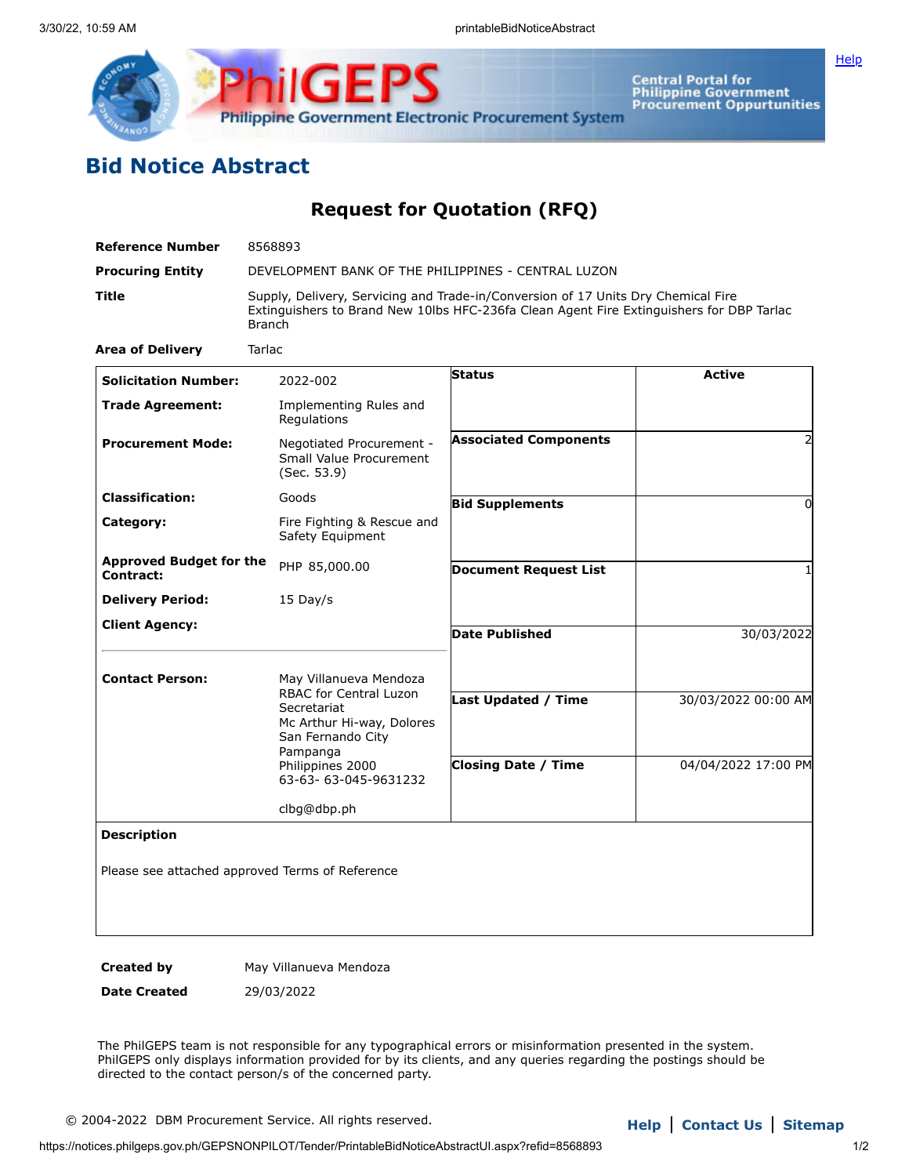

Central Portal for<br>Philippine Government<br>Procurement Oppurtunities

## **Bid Notice Abstract**

**Request for Quotation (RFQ)**

| Reference Number                            | 8568893                                                                                                                                                                                        |                              |                     |
|---------------------------------------------|------------------------------------------------------------------------------------------------------------------------------------------------------------------------------------------------|------------------------------|---------------------|
| <b>Procuring Entity</b>                     | DEVELOPMENT BANK OF THE PHILIPPINES - CENTRAL LUZON                                                                                                                                            |                              |                     |
| Title                                       | Supply, Delivery, Servicing and Trade-in/Conversion of 17 Units Dry Chemical Fire<br>Extinguishers to Brand New 10lbs HFC-236fa Clean Agent Fire Extinguishers for DBP Tarlac<br><b>Branch</b> |                              |                     |
| <b>Area of Delivery</b>                     | Tarlac                                                                                                                                                                                         |                              |                     |
| <b>Solicitation Number:</b>                 | 2022-002                                                                                                                                                                                       | <b>Status</b>                | <b>Active</b>       |
| <b>Trade Agreement:</b>                     | Implementing Rules and<br>Regulations                                                                                                                                                          |                              |                     |
| <b>Procurement Mode:</b>                    | Negotiated Procurement -<br>Small Value Procurement<br>(Sec. 53.9)                                                                                                                             | <b>Associated Components</b> | 2                   |
| <b>Classification:</b>                      | Goods                                                                                                                                                                                          | <b>Bid Supplements</b>       | 0                   |
| Category:                                   | Fire Fighting & Rescue and<br>Safety Equipment                                                                                                                                                 |                              |                     |
| <b>Approved Budget for the</b><br>Contract: | PHP 85,000.00                                                                                                                                                                                  | <b>Document Request List</b> | 1                   |
| <b>Delivery Period:</b>                     | 15 Day/s                                                                                                                                                                                       |                              |                     |
| <b>Client Agency:</b>                       |                                                                                                                                                                                                | <b>Date Published</b>        | 30/03/2022          |
| <b>Contact Person:</b>                      | May Villanueva Mendoza<br><b>RBAC for Central Luzon</b>                                                                                                                                        |                              |                     |
|                                             | Secretariat<br>Mc Arthur Hi-way, Dolores<br>San Fernando City<br>Pampanga                                                                                                                      | <b>Last Updated / Time</b>   | 30/03/2022 00:00 AM |
|                                             | Philippines 2000<br>63-63-63-045-9631232                                                                                                                                                       | <b>Closing Date / Time</b>   | 04/04/2022 17:00 PM |
|                                             | clbg@dbp.ph                                                                                                                                                                                    |                              |                     |
| <b>Description</b>                          |                                                                                                                                                                                                |                              |                     |
|                                             | Please see attached approved Terms of Reference                                                                                                                                                |                              |                     |

**Created by May Villanueva Mendoza** 

**Date Created** 29/03/2022

The PhilGEPS team is not responsible for any typographical errors or misinformation presented in the system. PhilGEPS only displays information provided for by its clients, and any queries regarding the postings should be directed to the contact person/s of the concerned party.